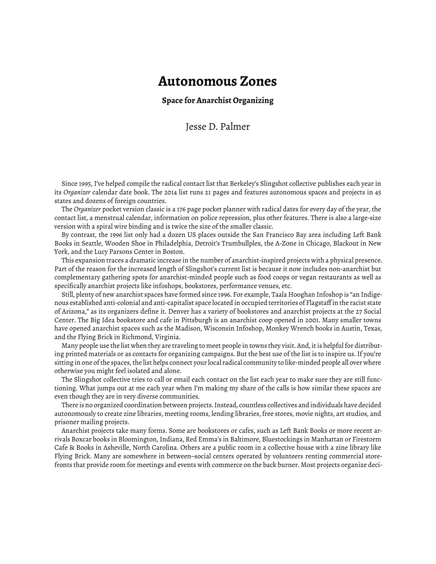## **Autonomous Zones**

**Space for Anarchist Organizing**

Jesse D. Palmer

Since 1995, I've helped compile the radical contact list that Berkeley's Slingshot collective publishes each year in its *Organizer* calendar date book. The 2014 list runs 21 pages and features autonomous spaces and projects in 45 states and dozens of foreign countries.

The *Organizer* pocket version classic is a 176 page pocket planner with radical dates for every day of the year, the contact list, a menstrual calendar, information on police repression, plus other features. There is also a large-size version with a spiral wire binding and is twice the size of the smaller classic.

By contrast, the 1996 list only had a dozen US places outside the San Francisco Bay area including Left Bank Books in Seattle, Wooden Shoe in Philadelphia, Detroit's Trumbullplex, the A-Zone in Chicago, Blackout in New York, and the Lucy Parsons Center in Boston.

This expansion traces a dramatic increase in the number of anarchist-inspired projects with a physical presence. Part of the reason for the increased length of Slingshot's current list is because it now includes non-anarchist but complementary gathering spots for anarchist-minded people such as food coops or vegan restaurants as well as specifically anarchist projects like infoshops, bookstores, performance venues, etc.

Still, plenty of new anarchist spaces have formed since 1996. For example, Taala Hooghan Infoshop is "an Indigenous established anti-colonial and anti-capitalist space located in occupied territories of Flagstaff in the racist state of Arizona," as its organizers define it. Denver has a variety of bookstores and anarchist projects at the 27 Social Center. The Big Idea bookstore and cafe in Pittsburgh is an anarchist coop opened in 2001. Many smaller towns have opened anarchist spaces such as the Madison, Wisconsin Infoshop, Monkey Wrench books in Austin, Texas, and the Flying Brick in Richmond, Virginia.

Many people use the list when they are traveling to meet people in towns they visit. And, it is helpful for distributing printed materials or as contacts for organizing campaigns. But the best use of the list is to inspire us. If you're sitting in one of the spaces, the list helps connect your local radical community to like-minded people all over where otherwise you might feel isolated and alone.

The Slingshot collective tries to call or email each contact on the list each year to make sure they are still functioning. What jumps out at me each year when I'm making my share of the calls is how similar these spaces are even though they are in very diverse communities.

There is no organized coordination between projects. Instead, countless collectives and individuals have decided autonomously to create zine libraries, meeting rooms, lending libraries, free stores, movie nights, art studios, and prisoner mailing projects.

Anarchist projects take many forms. Some are bookstores or cafes, such as Left Bank Books or more recent arrivals Boxcar books in Bloomington, Indiana, Red Emma's in Baltimore, Bluestockings in Manhattan or Firestorm Cafe & Books in Asheville, North Carolina. Others are a public room in a collective house with a zine library like Flying Brick. Many are somewhere in between–social centers operated by volunteers renting commercial storefronts that provide room for meetings and events with commerce on the back burner. Most projects organize deci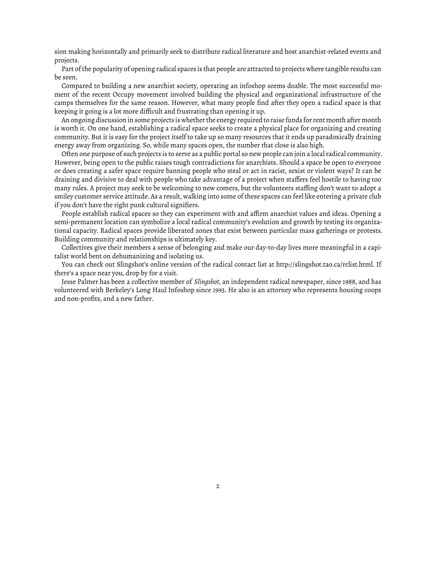sion making horizontally and primarily seek to distribute radical literature and host anarchist-related events and projects.

Part of the popularity of opening radical spaces is that people are attracted to projects where tangible results can be seen.

Compared to building a new anarchist society, operating an infoshop seems doable. The most successful moment of the recent Occupy movement involved building the physical and organizational infrastructure of the camps themselves for the same reason. However, what many people find after they open a radical space is that keeping it going is a lot more difficult and frustrating than opening it up.

An ongoing discussion in some projects is whether the energy required to raise funds for rent month after month is worth it. On one hand, establishing a radical space seeks to create a physical place for organizing and creating community. But it is easy for the project itself to take up so many resources that it ends up paradoxically draining energy away from organizing. So, while many spaces open, the number that close is also high.

Often one purpose of such projects is to serve as a public portal so new people can join a local radical community. However, being open to the public raises tough contradictions for anarchists. Should a space be open to everyone or does creating a safer space require banning people who steal or act in racist, sexist or violent ways? It can be draining and divisive to deal with people who take advantage of a project when staffers feel hostile to having too many rules. A project may seek to be welcoming to new comers, but the volunteers staffing don't want to adopt a smiley customer service attitude. As a result, walking into some of these spaces can feel like entering a private club if you don't have the right punk cultural signifiers.

People establish radical spaces so they can experiment with and affirm anarchist values and ideas. Opening a semi-permanent location can symbolize a local radical community's evolution and growth by testing its organizational capacity. Radical spaces provide liberated zones that exist between particular mass gatherings or protests. Building community and relationships is ultimately key.

Collectives give their members a sense of belonging and make our day-to-day lives more meaningful in a capitalist world bent on dehumanizing and isolating us.

You can check out Slingshot's online version of the radical contact list at http://slingshot.tao.ca/rclist.html. If there's a space near you, drop by for a visit.

Jesse Palmer has been a collective member of *Slingshot*, an independent radical newspaper, since 1988, and has volunteered with Berkeley's Long Haul Infoshop since 1993. He also is an attorney who represents housing coops and non-profits, and a new father.